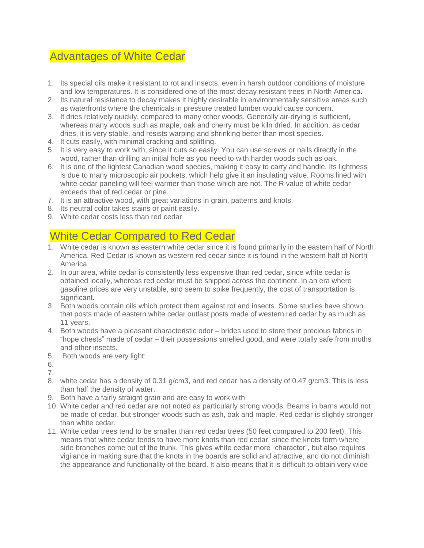## Advantages of White Cedar

- 1. Its special oils make it resistant to rot and insects, even in harsh outdoor conditions of moisture and low temperatures. It is considered one of the most decay resistant trees in North America.
- 2. Its natural resistance to decay makes it highly desirable in environmentally sensitive areas such as waterfronts where the chemicals in pressure treated lumber would cause concern.
- 3. It dries relatively quickly, compared to many other woods. Generally air-drying is sufficient, whereas many woods such as maple, oak and cherry must be kiln dried. In addition, as cedar dries, it is very stable, and resists warping and shrinking better than most species.
- 4. It cuts easily, with minimal cracking and splitting.
- 5. It is very easy to work with, since it cuts so easily. You can use screws or nails directly in the wood, rather than drilling an initial hole as you need to with harder woods such as oak.
- 6. It is one of the lightest Canadian wood species, making it easy to carry and handle. Its lightness is due to many microscopic air pockets, which help give it an insulating value. Rooms lined with white cedar paneling will feel warmer than those which are not. The R value of white cedar exceeds that of red cedar or pine.
- 7. It is an attractive wood, with great variations in grain, patterns and knots.
- 8. Its neutral color takes stains or paint easily.
- 9. White cedar costs less than red cedar

# White Cedar Compared to Red Cedar

- 1. White cedar is known as eastern white cedar since it is found primarily in the eastern half of North America. Red Cedar is known as western red cedar since it is found in the western half of North America
- 2. In our area, white cedar is consistently less expensive than red cedar, since white cedar is obtained locally, whereas red cedar must be shipped across the continent. In an era where gasoline prices are very unstable, and seem to spike frequently, the cost of transportation is significant.
- 3. Both woods contain oils which protect them against rot and insects. Some studies have shown that posts made of eastern white cedar outlast posts made of western red cedar by as much as 11 years.
- 4. Both woods have a pleasant characteristic odor brides used to store their precious fabrics in "hope chests" made of cedar – their possessions smelled good, and were totally safe from moths and other insects.
- 5. Both woods are very light:
- 6.
- 7.
- 8. white cedar has a density of 0.31 g/cm3, and red cedar has a density of 0.47 g/cm3. This is less than half the density of water.
- 9. Both have a fairly straight grain and are easy to work with
- 10. White cedar and red cedar are not noted as particularly strong woods. Beams in barns would not be made of cedar, but stronger woods such as ash, oak and maple. Red cedar is slightly stronger than white cedar.
- 11. White cedar trees tend to be smaller than red cedar trees (50 feet compared to 200 feet). This means that white cedar tends to have more knots than red cedar, since the knots form where side branches come out of the trunk. This gives white cedar more "character", but also requires vigilance in making sure that the knots in the boards are solid and attractive, and do not diminish the appearance and functionality of the board. It also means that it is difficult to obtain very wide